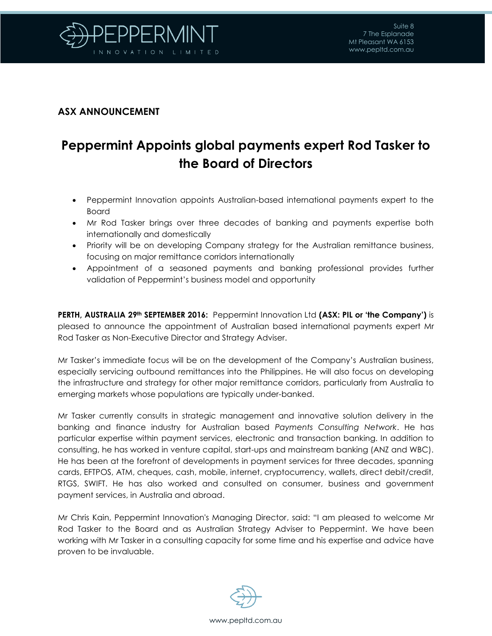

## **ASX ANNOUNCEMENT**

## **Peppermint Appoints global payments expert Rod Tasker to the Board of Directors**

- Peppermint Innovation appoints Australian-based international payments expert to the Board
- Mr Rod Tasker brings over three decades of banking and payments expertise both internationally and domestically
- Priority will be on developing Company strategy for the Australian remittance business, focusing on major remittance corridors internationally
- Appointment of a seasoned payments and banking professional provides further validation of Peppermint's business model and opportunity

**PERTH, AUSTRALIA 29th SEPTEMBER 2016:** Peppermint Innovation Ltd **(ASX: PIL or 'the Company')** is pleased to announce the appointment of Australian based international payments expert Mr Rod Tasker as Non-Executive Director and Strategy Adviser.

Mr Tasker's immediate focus will be on the development of the Company's Australian business, especially servicing outbound remittances into the Philippines. He will also focus on developing the infrastructure and strategy for other major remittance corridors, particularly from Australia to emerging markets whose populations are typically under-banked.

Mr Tasker currently consults in strategic management and innovative solution delivery in the banking and finance industry for Australian based *Payments Consulting Network*. He has particular expertise within payment services, electronic and transaction banking. In addition to consulting, he has worked in venture capital, start-ups and mainstream banking (ANZ and WBC). He has been at the forefront of developments in payment services for three decades, spanning cards, EFTPOS, ATM, cheques, cash, mobile, internet, cryptocurrency, wallets, direct debit/credit, RTGS, SWIFT. He has also worked and consulted on consumer, business and government payment services, in Australia and abroad.

Mr Chris Kain, Peppermint Innovation's Managing Director, said: "I am pleased to welcome Mr Rod Tasker to the Board and as Australian Strategy Adviser to Peppermint. We have been working with Mr Tasker in a consulting capacity for some time and his expertise and advice have proven to be invaluable.